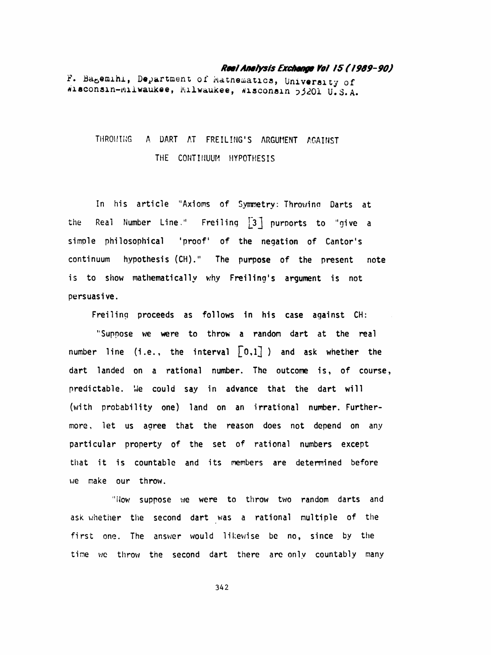## Real Analysis Exchange Ye! /5 ( 1989-90)

F. Bagemihi, Department of Mathematics, University of wisconsin-milwaukee, Milwaukee, Wisconsin 53201 U.S.A.

## THROWING A DART AT FREILING'S ARGUMENT AGAINST THE CONTINUUM HYPOTHESIS

 In his article "Axioms of Symmetry: Throwina Darts at the Real Number Line." Freiling  $\begin{bmatrix} 3 \end{bmatrix}$  purports to "give a simple philosophical 'proof' of the negation of Cantor's continuum hypothesis (CH)." The purpose of the present note is to show mathematically why Freiling's argument is not persuasive.

Freiling proceeds as follows in his case against CH:

 "Suppose we were to throw a random dart at the real number line (i.e., the interval  $\lceil 0,1 \rceil$  ) and ask whether the dart landed on a rational number. The outcome is, of course, predictable. We could say in advance that the dart will (with probability one) land on an irrational number. Further more, let us agree that the reason does not depend on any particular property of the set of rational numbers except that it is countable and its members are determined before we make our throw.

"Now suppose we were to throw two random darts and ask whether the second dart was a rational multiple of the first one. The answer would likewise be no, since by the time we throw the second dart there are only countably many

342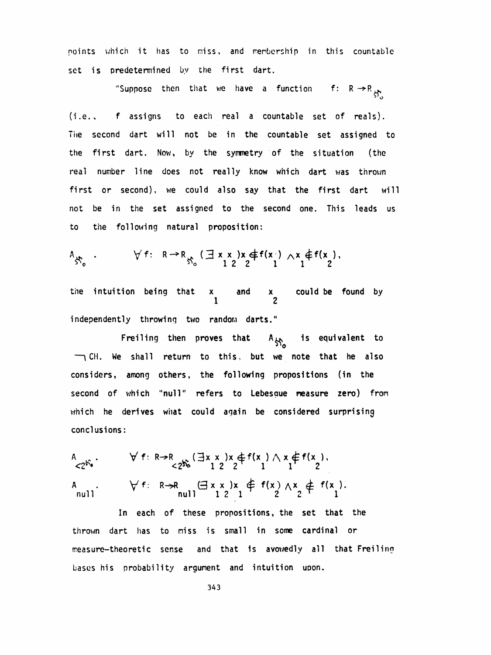points which it has to miss, and membership in this countable set is predetermined by the first dart.

"Suppose then that we have a function f:  $R \rightarrow R_{\frac{1}{2}}$ 

 (i.e., f assigns to each real a countable set of reals). The second dart will not be in the countable set assigned to the first dart. Now, by the symmetry of the situation (the real number line does not really know which dart was thrown first or second), we could also say that the first dart will not be in the set assigned to the second one. This leads us to the following natural proposition:

$$
A_{S_0} \tcdot \tV f: R \to R_{S_0} \t\t(\exists x \ x \ )x \notin f(x \ ) \wedge x \notin f(x),
$$

the intuition being that x and x could be found by and  $\begin{array}{cc} x \\ 1 \end{array}$ independently throwing two random darts."

Freiling then proves that  $A_{\xi\chi}$  is equivalent to  $\rightarrow$  CH. We shall return to this, but we note that he also considers, among others, the following propositions (in the second of which "null" refers to Lebesaue measure zero) from which he derives what could again be considered surprising conclusions:

A<br>  $\checkmark$  2<sup>5</sup> .  $\checkmark$  f: R $\hatmark$   $\hatmark$  3x  $\checkmark$  x  $\checkmark$  + f(x ) \ x  $\notin$  f(x ),  $\checkmark$  2  $\checkmark$  f(x ),  $\checkmark$  2 1 A .  $\forall f: R\rightarrow R \quad (\exists x \times x) \times \notin f(x) \land x \notin f(x).$ 

 In each of these propositions, the set that the thrown dart has to miss is small in some cardinal or measure-theoretic sense and that is avowedly all that Freiling bases his probability argument and intuition upon.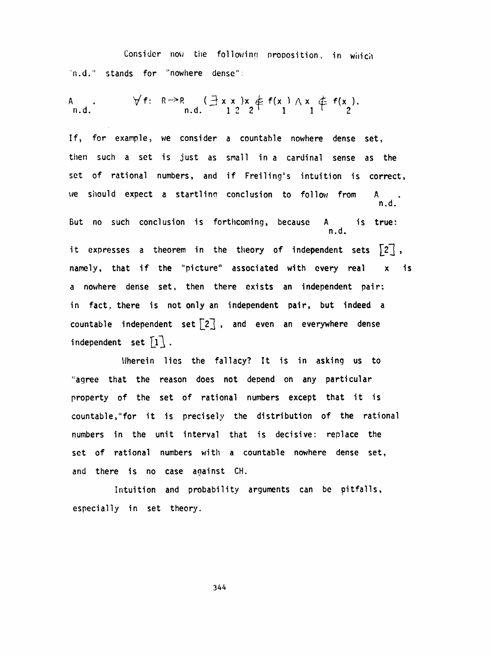Consider now the following proposition, in which n.d." stands for "nowhere dense":

 $\forall f: \mathbb{R} \rightarrow \mathbb{R} \quad (\exists x \times x) \times \notin f(x) \land x \notin f(x)$ .<br>
n.d.  $1 \overset{?}{2} 2 \overset{?}{+} f(x) \overset{?}{-} 1$ 

If, for example, we consider a countable nowhere dense set, then such a set is just as snail in a cardinal sense as the set of rational numbers, and if Freiling's intuition is correct, we should expect a startling conclusion to follow from n.d.

 But no such conclusion is forthcoming, because A is true: n.d.

it expresses a theorem in the theory of independent sets  $[2]$ , namely, that if the "picture" associated with every real x is a nowhere dense set, then there exists an independent pair; in fact, there is not only an independent pair, but indeed a countable independent set  $\lceil 2 \rceil$ , and even an everywhere dense independent set  $\lceil 1 \rceil$ .

Wherein lies the fallacy? It is in asking us to "agree that the reason does not depend on any particular property of the set of rational numbers except that it is countable, "for it is precisely the distribution of the rational numbers in the unit interval that is decisive: replace the set of rational numbers with a countable nowhere dense set, and there is no case against CH.

 Intuition and probability arguments can be pitfalls, especially in set theory.

344